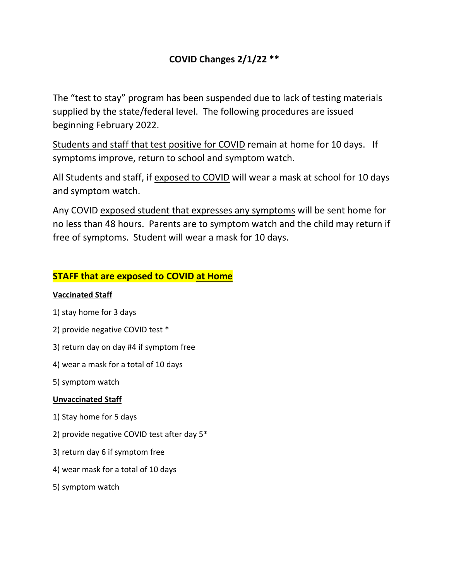# **COVID Changes 2/1/22 \*\***

The "test to stay" program has been suspended due to lack of testing materials supplied by the state/federal level. The following procedures are issued beginning February 2022.

Students and staff that test positive for COVID remain at home for 10 days. If symptoms improve, return to school and symptom watch.

All Students and staff, if exposed to COVID will wear a mask at school for 10 days and symptom watch.

Any COVID exposed student that expresses any symptoms will be sent home for no less than 48 hours. Parents are to symptom watch and the child may return if free of symptoms. Student will wear a mask for 10 days.

## **STAFF that are exposed to COVID at Home**

#### **Vaccinated Staff**

- 1) stay home for 3 days
- 2) provide negative COVID test \*
- 3) return day on day #4 if symptom free
- 4) wear a mask for a total of 10 days
- 5) symptom watch

#### **Unvaccinated Staff**

- 1) Stay home for 5 days
- 2) provide negative COVID test after day 5\*
- 3) return day 6 if symptom free
- 4) wear mask for a total of 10 days
- 5) symptom watch